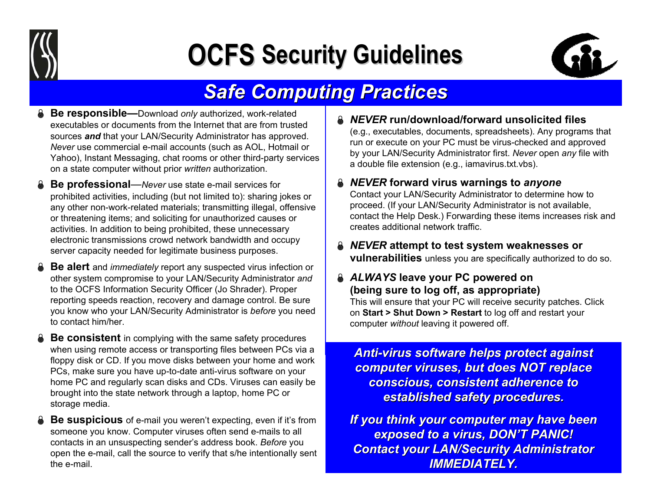

# **OCFS Security Guidelines**



### **Safe Computing Practices**

- **Be responsible—**Download only authorized, work-related executables or documents from the I nternet that are from trustedsources *and* that your LAN/Security Administrator has approved. *Never* use commercial e-mail accounts (such a s AOL, Hotmail or Yahoo), Instant Messaging, chat rooms or other third-party services on a state computer without prior *written* authorization.
- **△ Be professional**—*Never* use state e-mail services for prohibited a ctivities, including (but n ot limited to): sharing jokes or any other non-work-related materials; transmitting illegal, offensive or threatening items; and soliciting for unauthorized cau ses or activities. In addition to b eing prohibited, these unnecessary electronic transmissions crowd network bandwidth and occupy server capacity needed for legitimat e business purposes.
- **△ Be alert** and *immediately* report any suspected virus infection or other syste m compromise to your L AN/Security Administrator *and*  to the OCF S Information Security Officer (Jo Shrader). Proper reporting speeds reaction, recovery and damage control. Be sure you know who your LAN/Security Administrator is *before* you need to contact him/her.
- **A** Be consistent in complying with the same safety procedures when using remote access or transp orting files between PCs via a floppy disk or CD. If you move disks between your home and work PCs, make sure you have up-to-date anti-virus software on your home PC and regularly scan disks and CDs. Viruses can easily be brought into the state network through a laptop, h ome PC or storage media.
- **Be suspicious** of e-mail you weren't expecting, even if it's from someone you know. Computer viruses often sen d e-mails to all contact s in an unsuspecting sender's address book. *Before* you open the e-mail, call the source to verify that s/h e intentionally sent the e-mail.
- **& NEVER run/download/forward unsolicited files** (e.g., executables, documents, spreadsheets). Any progra ms that run or execute on your P C must be virus-checked and approved by your LAN/Security Administrator first. *Never* open *any* file with a double file extension ( e.g., iamavirus.txt.vbs).
- *NEVER* **forward virus warnings to** *anyone* Contact your LAN/Security Administr ator to determine how to proceed. (If your LAN/Security Administrator is n ot available, contact the Help Desk.) Forwarding these items increases risk and creates additional network traffic.
- ± *NEVER* **attempt to test s yste mweaknesses or vulnerabilities** unless you are specifically authorized to do so.
- ± *ALWAYS* **leave your P C powered on (being sure to log off, as appropriate)**

This will ensure that your PC will receive security patches. Click on **Start > Shut Down>Restart** to log off and restart your computer *without* leavi ng it powered off.

*Anti-virus software helps protect against virus software helps protect against computer viruses, but does NOT replace computer viruses, but does NOT replace conscious, consistent adherence to conscious, consistent adherence to established safety procedures. established safety procedures.*

**If you think your computer may have been** *exposed to a virus, DON'T PANIC! exposed to a virus, DON'T PANIC!* **Contact your LAN/Security Administrator** *IMMEDIATELY. DIATELY.*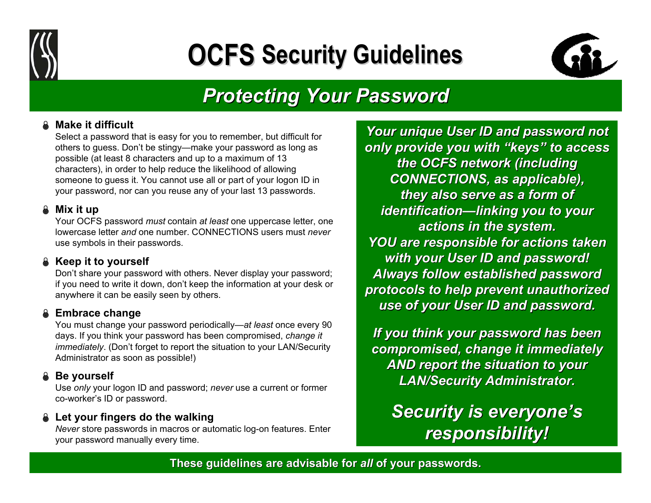

## **OCFS Security Guidelines**



### *Protecting Your Password Protecting Your Password*

#### ± **Make it difficult**

Select a password that is easy for you to remember, but difficult for others to guess. Don't b e stingy—make your password as long as possible (at least 8 characters and u p to a maximum of 13 character s), in order to h elp reduce the likelihood of allowing someone to guess it. You cannot use all or part of your logon ID in your password, nor can you reuse a ny of your last 13 passwords.

#### ± **Mix it up**

Your OCFS password *must* contain *at least* one uppercase letter, one lowercase letter *and* one number. CONNECTIONS users must *never*use symbols in their passwords.

#### **& Keep it to yourself**

Don't share your password with oth ers. Never display your password; if you need to write it down, don't keep the infor mation at your desk or anywhere it can be easily seen by others.

#### **Embrace change**

You must change your p assword periodically—*at least* once every 90 days. If you think your p assword has been com promised, *change it immediately*. (Don't forget to report the situation to your LAN/Security Administrator as soon as possible!)

#### $\&$  Be yourself

Use *only* your logon ID and password; *never* use a current or former co-worker's ID or password.

#### **a** Let your fingers do the walking

*Never* store passwords in macros or automatic log-on feature s. Enter your password manually every time.

*Your unique User ID and password not only provide you with "keys" to access in the mode of the interminal values* **the OCFS network (including**  $CONNECTIONS,$  *as applicable)*, *they also serve as a form of identi fication —linking you to your linking you to your actions in actions in the system. the system. YOU are responsible for actions taken YOU are responsible for actions taken with your User ID and password!* Always follow established password *protocols to help prevent unauthorized protocols to help prevent unauthorized use of your User ID and password.*

*If you think your password has been ink password has been compromised, change it compromised, change it immediately immediately AND report the situation to your LAN/Security Administrator. curity Administrator.*

**Security is everyone's** *responsibility! responsibility!*

#### **These guidelines are advisable for These guidelines are advisable for** *all* **of y o u r passwords. passwords.**